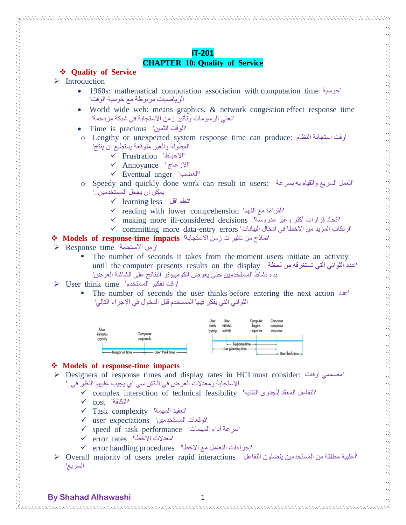# **CHAPTER 10: Quality of Service**

# **Quality of Service**

# $\triangleright$  Introduction

- 1960s: mathematical computation association with computation time حوسبة' الرياضيات مربوطة مع حوسبة الوقت'
- World wide web: means graphics, & network congestion effect response time 'تعني الرسومات وتأثير زمن االستجابة في شبكة مزدحمة'
- Time is precious 'الثمين الوقت'
- o Lengthy or unexpected system response time can produce: النظام استجابة وقت' المطولة والغير متوقعة يستطيع ان ينتج'
	- Frustration 'االحباط'
	- Annoyance ' اإلزعاج'
	- Eventual anger 'الغضب'
- o Speedy and quickly done work can result in users: بسرعة به والقيام السريع العمل' يمكن ان يجعل المستخدمين..'
	- $\checkmark$  learning less 'تعلم اقل'
	- $\checkmark$  reading with lower comprehension 'القراءة مع الفهم'
	- making more ill-considered decisions 'مدروسة وغير أكثر قرارات اتخاذ'
	- $\checkmark$  committing more data-entry errors 'ارتكاب المزيد من الاخطا في ادخال البيانات'

## **Models of response-time impacts** 'االستجابة زمن تاثيرات من نماذج'

 $\triangleright$  Response time 'زمن الاستجابة'

• The number of seconds it takes from the moment users initiate an activity until the computer presents results on the display لحظة الثواني التي تستغرقه من لحظة بدء نشاط المستخدمين حتى يعرض الكومبيوتر النتائج على الشاشة العرض'

## $\triangleright$  User think time 'وقت تفكير المستخدم'

 The number of seconds the user thinks before entering the next action عدد' الثواني التي يفكر فيها المستخدم قبل الدخول في اإلجراء التالي'



## **Models of response-time impacts**

- Designers of response times and display rates in HCI must consider: أوقات مصممي' االستجابة ومعدالت العرض في الـتش سي آي يجيب عليهم النظر في..'
	- $\checkmark$  complex interaction of technical feasibility 'التفاعل المعقد للجدوى التقنية''
	- cost 'التكلفة'
	- $\checkmark$  Task complexity 'تعقيد المهمة'
	- $\checkmark$  user expectations 'توقعات المستخدمين'
	- speed of task performance 'المهمات أداء سرعة'
	- error rates 'االخطأ معدالت'
	- 'إجراءات التعامل مع االخطا' procedures handling error
- $\triangleright$  Overall majority of users prefer rapid interactions التفاعل للتفاعل يفضلون التفاعل المستخدمين مطلقة من المستخدمين يفضلون التفاعل السريع'

**By Shahad Alhawashi** 1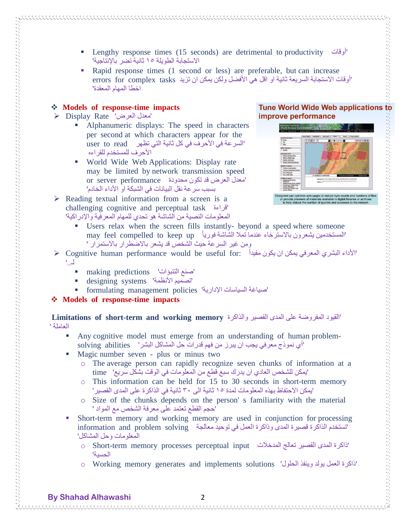- Lengthy response times (15 seconds) are detrimental to productivity أوقات' االستجابة الطويلة ٥١ ثانية تضر باإلنتاجية'
- Rapid response times (1 second or less) are preferable, but can increase 'أوقات الاستجابة السريعة ثانية او اقل هي الأفضل ولكن يمكن ان تزيد errors for complex tasks وr اخطا المهام المعقدة'

### **Models of response-time impacts**

- $\triangleright$  Display Rate 'معدل العرض'
	- Alphanumeric displays: The speed in characters per second at which characters appear for the 'السرعة في الأحرف في كل ثانية التي تظهر user to read األحرف للمستخدم للقراءه
	- World Wide Web Applications: Display rate may be limited by network transmission speed 'معدل العرض قد تكون محدودة performance server or بسبب سرعة نقل البيانات في الشبكة او األداء الخادم'
- $\triangleright$  Reading textual information from a screen is a challenging cognitive and perceptual task قراءة' المعلومات النصية من الشاشة هو تحدي للمهام المعرفية واإلدراكية'

#### **Tune World Wide Web applications to** improve performance



rs can optimize web pages to reduce byte counts and numbers of fi<br>ovide previews of materials available in digital libraries or archives<br>help reduce the number of queries and accesses to the network

- Users relax when the screen fills instantly- beyond a speed where someone المستخدمين يشعرون بالاسترخاء عندما تملا الشاشة فورياً may feel compelled to keep up ومن غير السرعة حيث الشخص قد يشعر بالاضطرار بالاستمرار '
- $\triangleright$  Cognitive human performance would be useful for: الأداء البشري المعرفي يمكن ان يكون مفيداً لـ..'
	- making predictions 'التنبؤات صنع'
	- designing systems 'تصميم الأنظمة'
	- formulating management policies 'صياغة السياسات الإدارية'
- **Models of response-time impacts**

 $\sim$  . The construction of the construction of the construction of the construction of the construction of the construction of the construction of the construction of the construction of the construction of the constructi

 **Limitations of short-term and working memory** والذاكرة القصير المدى على المفروضة القيود' العاملة '

- Any cognitive model must emerge from an understanding of human problemsolving abilities ''اي نموذج معرفي يجب ان يبرز من فهم قدرات حل المشاكل البشر
- Magic number seven plus or minus two
	- o The average person can rapidly recognize seven chunks of information at a 'يمكن للشخص العادي ان يدرك سبع قطع من المعلومات في الوقت بشكل سريع' time
	- o This information can be held for 15 to 30 seconds in short-term memory 'يمكن االحتفاظ بهذه المعلومات لمدة ٥١ ثانية الى ٠٣ ثانية في الذاكرة على المدى القصير'
	- o Size of the chunks depends on the person' s familiarity with the material 'حجم القطع تعتمد على معرفة الشخص مع المواد '
- Short-term memory and working memory are used in conjunction for processing 'تستخدم الذاكرة قصيرة المدى وذاكرة العمل في توحيد معالجة information and problem solving المعلومات وحل المشاكل'
	- o Short-term memory processes perceptual input المدخالت تعالج القصير المدى ذاكرة' الحسية'
	- o Working memory generates and implements solutions 'الحلول وينفذ يولد العمل ذاكرة'

**By Shahad Alhawashi** 2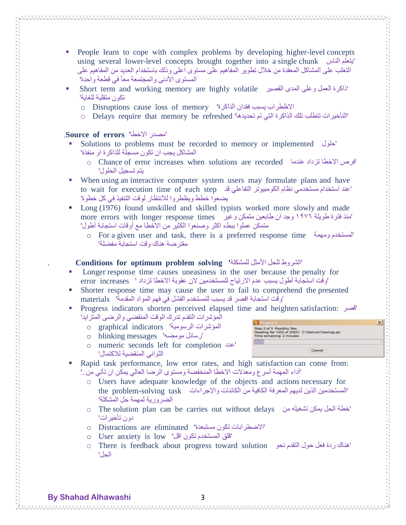- People learn to cope with complex problems by developing higher-level concepts using several lower-level concepts brought together into a single chunk الناس يتعلم' التغلب على المشاكل المعقدة من خالل تطوير المفاهيم على مستوى اعلى وذلك باستخدام العديد من المفاهيم على المستوى الأدنى والمجتمعة معاً في قطعة واحدة'
- Short term and working memory are highly volatile القصير المدى وعلى العمل ذاكرة' تكون متقلبة للغاية'
	- o Disruptions cause loss of memory 'الذاكرة فقدان يسبب االظطراب
	- 'التأخيرات تتطلب تلك الذاكرة التي تم تحديدها' refreshed be memory that require Delays o

### .**Source of errors** 'االخطا مصدر'

- Solutions to problems must be recorded to memory or implemented حلول' المشاكل يجب ان تكون مسجلة للذاكرة او منفذة'
	- o Chance of error increases when solutions are recorded عندما تزداد االخطا فرص' يتم تسجيل الحلول'
- When using an interactive computer system users may formulate plans and have to wait for execution time of each step قد التفاعلي الكومبيوتر نظام مستخدمي استخدام عند' يضعوا خطط ويظطروا لالنتظار لوقت التنفيذ في كل خطوة'
- Long (1976) found unskilled and skilled typists worked more slowly and made 'منذ فترة طويلة ١٩٧٦ وجد ان طابعين متمكن وغير more errors with longer response times متمكن عملوا ببطء اكثر وصنعوا الكثير من االخطا مع أوقات استجابة أطول'
	- o For a given user and task, there is a preferred response time ومهمة لمستخدم' مفترضة هناك وقت استجابة مفضلة'

### . **Conditions for optimum problem solving '**للمشكلة األمثل للحل الشروط'

- Longer response time causes uneasiness in the user because the penalty for 'وقت استجابة أطول يسبب عدم االرتياح للمستخدمين الن عقوبة االخطا تزداد ' increases error
- Shorter response time may cause the user to fail to comprehend the presented 'وقت استجابة اقصر قد يسبب للمستخدم الفشل في فهم المواد المقدمة' materials
- Progress indicators shorten perceived elapsed time and heighten satisfaction: قصر' المؤشرات التقدم تدرك الوقت المنقضي والرضى المتزايد'
	- o graphical indicators 'المؤشرات الرسومية
	- o blinking messages 'مومضه رسائل'
	- o numeric seconds left for completion عدد' الثواني المنقضية لالكتمال'



 $\times$ 

- Rapid task performance, low error rates, and high satisfaction can come from: 'أداء المهمة أسرع ومعدالت االخطا المنخفضة ومستوى الرضا العالي يمكن ان تأتي من..'
	- o Users have adequate knowledge of the objects and actions necessary for 'المستخدمين الذين لديهم المعرفة الكافية من الكائنات والإجراءات the problem-solving task الضرورية لمهمة حل المشكلة'
	- o The solution plan can be carries out without delays من تشغيله يمكن الحل خطة' دون تأخيرات'
	- o Distractions are eliminated 'مستبعدة تكون االضطرابات'
	- o User anxiety is low 'فاق المستخدم تكون اقل'
	- o There is feedback about progress toward solution journed solution الحل'

**By Shahad Alhawashi** 3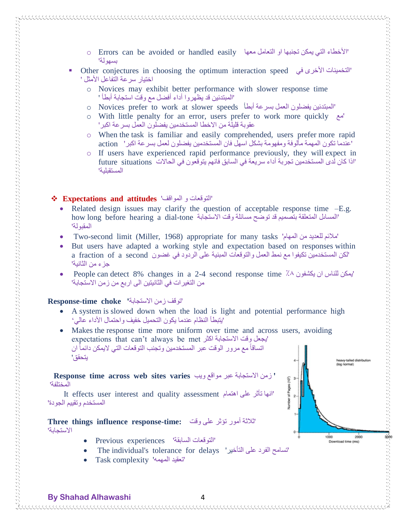- o Errors can be avoided or handled easily الأخطاء التي يمكن تجنبها او التعامل معها التي التعامل التي التي بسهولة'
- Other conjectures in choosing the optimum interaction speed في األخرى التخمينات' اختيار سرعة التفاعل الأمثل '
	- o Novices may exhibit better performance with slower response time 'المبتدئين قد يظهروا أداء أفضل مع وقت استجابة أبطأ '
	- o Novices prefer to work at slower speeds أبطأ بسرعة العمل يفضلون المبتدئين'
	- o With little penalty for an error, users prefer to work more quickly مع' عقوبة قليلة من االخطا المستخدمين يفضلون العمل بسرعة اكبر'
	- o When the task is familiar and easily comprehended, users prefer more rapid 'عندما تكون المهمة مألوفة ومفهومة بشكل اسهل فان المستخدمين يفضلون لعمل بسرعة اكبر' action
	- o If users have experienced rapid performance previously, they will expect in 'اذا كان لدى المستخدمين تجربة أداء سريعة في السابق فانهم يتوقعون في الحالات future situations المستقبلية'

#### **Expectations and attitudes** 'المواقف و التوقعات'

- Related design issues may clarify the question of acceptable response time  $-E.g.$ 'المساىل المتعلقة بتصميم قد توضح مسائلة وقت الاستجابة how long before hearing a dial-tone المقبولة'
- Two-second limit (Miller, 1968) appropriate for many tasks 'المهام من للعديد مالئم'
- But users have adapted a working style and expectation based on responses within 'لكن المستخدمين تكيفوا مع نمط العمل والتوقعات المبنية على الردود في غضون second a of fraction a جزء من الثانية'
- People can detect 8% changes in a 2-4 second response time ٪٨ يكشفون ان للناس يمكن' من التغيرات في الثانيتين الى اربع من زمن االستجابة'

#### 'توقف زمن االستجابة**' choke time-Response**

- A system is slowed down when the load is light and potential performance high 'يتبطأ النظام عندما يكون التحميل خفيف واحتمال الأداء عالمي
- Makes the response time more uniform over time and across users, avoiding expectations that can't always be met الجعل وقت الاستجابة اكثر اتساقاً مع مرور الوقت عبر المستخدمين وتجنب التوقعات التي لايمكن دائماً ان يتحقق'

 **Response time across web sites varies** ويب مواقع عبر االستجابة زمن**'**  المختلفة'

 It effects user interest and quality assessment اهتمام على تأثر انها' المستخدم وتقييم الجودة'

'ثالثة أمور تؤثر على وقت **:time-response influence things Three** االستجابة'

- Previous experiences 'السابقة التوقعات'
- The individual's tolerance for delays 'التأخير على الفرد تسامح'
- Task complexity 'المهمه تعقيد'



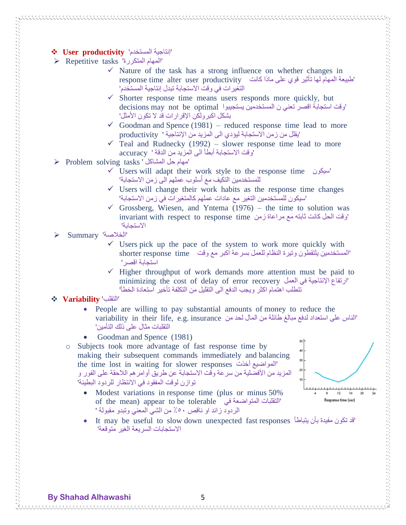- **User productivity** 'المستخدم إنتاجية'
- Repetitive tasks 'المتكررة المهام'
	- $\checkmark$  Nature of the task has a strong influence on whether changes in 'طبيعة المهام لها تأثير قوي على ماذا كانت response time alter user productivity التغيرات في وقت االستجابة تبدل إنتاجية المستخدم'
	- $\checkmark$  Shorter response time means users responds more quickly, but 'وقت استجابة اقصر تعني ن المستخدمين يستجيبوا optimal be not may decisions بشكل اكبرولكن اإلقرارات قد ال تكون األمثل'
	- $\checkmark$  Goodman and Spence (1981) reduced response time lead to more 'يقلل من زمن االستجابة ليؤدي الى المزيد من اإلنتاجية ' productivity
	- $\checkmark$  Teal and Rudnecky (1992) slower response time lead to more 'وقت االستجابة أبطأ الى المزيد من الدقة ' accuracy
- $\triangleright$  Problem solving tasks ' امهام حل المشاكل'
	- Users will adapt their work style to the response time سيكون' للمستخدمين التكيف مع أسلوب عملهم الى زمن الاستجابة'
	- $\checkmark$  Users will change their work habits as the response time changes 'سيكون للمستخدمين التغير مع عادات عملهم كالمتغيرات في زمن االستجابة'
	- Grossberg, Wiesen, and Yntema (1976) the time to solution was 'وقت الحل كانت ثابته مع مراعاة زمن invariant with respect to response time االستجابة'
- Summary 'الخالصة'
	- $\checkmark$  Users pick up the pace of the system to work more quickly with 'المستخدمين يلتقطون وتيرة النظام للعمل بسرعة اكبر مع وقت \_ shorter response time استجابة اقصر'
	- $\checkmark$  Higher throughput of work demands more attention must be paid to minimizing the cost of delay of error recovery الرتفاع الإنتاجية في العمل المعمل تتطلب اهتمام اكثر ويجب الدفع الى التقليل من التكلفة تأخير استعادة الخطأ'

### **Variability** 'التقلب'

 $\sim$  and the construction of the construction of the construction of the construction of the construction of the construction of the construction of the construction of the construction of the construction of the construc

- People are willing to pay substantial amounts of money to reduce the 'الناس على استعداد لدفع مبالغ طائلة من المال لحد من variability in their life, e.g. insurance . التقلبات مثال على ذلك التأمين'
- Goodman and Spence (1981)
- o Subjects took more advantage of fast response time by making their subsequent commands immediately and balancing the time lost in waiting for slower responses المواضيع أخذت المزيد من الأفضلية من سرعة وقت الاستجابة عن طريق أوامر هم اللاحقة على الفور و توازن لوقت المفقود في االنتظار للردود البطيئة'
	- Modest variations in response time (plus or minus 50%) of the mean) appear to be tolerable التقلبات المتواضعة في الردود زائد او ناقص ٪١٣ من الشي المعني وتبدو مقبولة '



 It may be useful to slow down unexpected fast responses يتباطأ بأن مفيدة تكون قد' االستجابات السريعة الغير متوقعة'